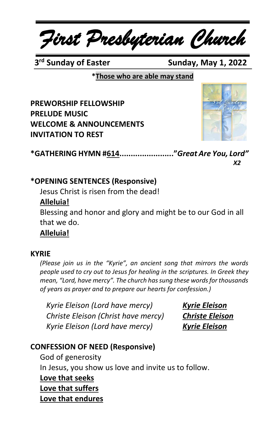*First Presbyterian Church*

3<sup>rd</sup> Sunday of Easter

**Sunday, May 1, 2022** 

**\*Those who are able may stand**

**PREWORSHIP FELLOWSHIP PRELUDE MUSIC WELCOME & ANNOUNCEMENTS INVITATION TO REST**



**\*GATHERING HYMN #614........................"***Great Are You, Lord" X2*

### **\*OPENING SENTENCES (Responsive)**

Jesus Christ is risen from the dead!

# **Alleluia!**

Blessing and honor and glory and might be to our God in all that we do.

**Alleluia!**

#### **KYRIE**

*(Please join us in the "Kyrie", an ancient song that mirrors the words people used to cry out to Jesus for healing in the scriptures. In Greek they mean, "Lord, have mercy". The church has sung these words for thousands of years as prayer and to prepare our hearts for confession.)*

*Kyrie Eleison (Lord have mercy) Kyrie Eleison Christe Eleison (Christ have mercy) Christe Eleison Kyrie Eleison (Lord have mercy) Kyrie Eleison*

# **CONFESSION OF NEED (Responsive)**

God of generosity In Jesus, you show us love and invite us to follow. **Love that seeks Love that suffers Love that endures**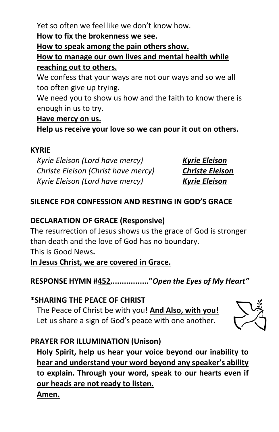Yet so often we feel like we don't know how.

**How to fix the brokenness we see.**

**How to speak among the pain others show.**

**How to manage our own lives and mental health while reaching out to others.**

We confess that your ways are not our ways and so we all too often give up trying.

We need you to show us how and the faith to know there is enough in us to try.

# **Have mercy on us.**

**Help us receive your love so we can pour it out on others.**

# **KYRIE**

*Kyrie Eleison (Lord have mercy) Kyrie Eleison Christe Eleison (Christ have mercy) Christe Eleison Kyrie Eleison (Lord have mercy) Kyrie Eleison*

# **SILENCE FOR CONFESSION AND RESTING IN GOD'S GRACE**

# **DECLARATION OF GRACE (Responsive)**

The resurrection of Jesus shows us the grace of God is stronger than death and the love of God has no boundary. This is Good News**. In Jesus Christ, we are covered in Grace.**

**RESPONSE HYMN #452................."***Open the Eyes of My Heart"*

**\*SHARING THE PEACE OF CHRIST** The Peace of Christ be with you! **And Also, with you!** Let us share a sign of God's peace with one another.



# **PRAYER FOR ILLUMINATION (Unison)**

**Holy Spirit, help us hear your voice beyond our inability to hear and understand your word beyond any speaker's ability to explain. Through your word, speak to our hearts even if our heads are not ready to listen. Amen.**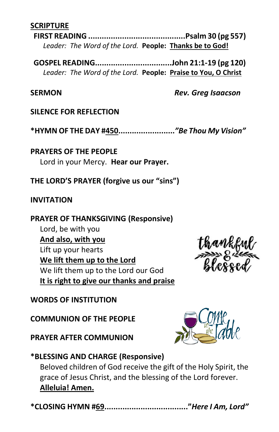#### **SCRIPTURE**

**FIRST READING ...........................................Psalm 30 (pg 557)** *Leader: The Word of the Lord.* **People: Thanks be to God!**

**GOSPEL READING..................................John 21:1-19 (pg 120)** *Leader: The Word of the Lord.* **People: Praise to You, O Christ**

#### **SERMON** *Rev. Greg Isaacson*

#### **SILENCE FOR REFLECTION**

**\*HYMN OF THE DAY #450.........................***"Be Thou My Vision"*

**PRAYERS OF THE PEOPLE** Lord in your Mercy. **Hear our Prayer.**

#### **THE LORD'S PRAYER (forgive us our "sins")**

#### **INVITATION**

#### **PRAYER OF THANKSGIVING (Responsive)**

Lord, be with you **And also, with you** Lift up your hearts **We lift them up to the Lord** We lift them up to the Lord our God **It is right to give our thanks and praise**

# **WORDS OF INSTITUTION**

**COMMUNION OF THE PEOPLE**

**PRAYER AFTER COMMUNION**



#### **\*BLESSING AND CHARGE (Responsive)**

Beloved children of God receive the gift of the Holy Spirit, the grace of Jesus Christ, and the blessing of the Lord forever. **Alleluia! Amen.**

|--|--|--|--|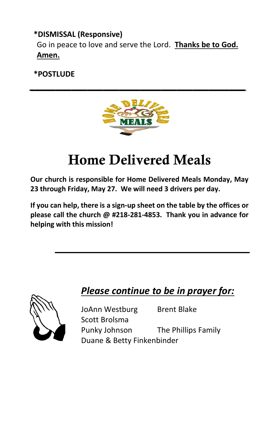# **\*DISMISSAL (Responsive)** Go in peace to love and serve the Lord. **Thanks be to God.**

# **Amen.**

# **\*POSTLUDE**



*\_\_\_\_\_\_\_\_\_\_\_\_\_\_\_\_\_\_\_\_\_\_\_\_\_\_\_\_\_\_\_\_\_\_\_\_\_\_\_\_\_*

# Home Delivered Meals

**Our church is responsible for Home Delivered Meals Monday, May 23 through Friday, May 27. We will need 3 drivers per day.** 

**If you can help, there is a sign-up sheet on the table by the offices or please call the church @ #218-281-4853. Thank you in advance for helping with this mission!**



# *Please continue to be in prayer for:*

JoAnn Westburg Brent Blake Scott Brolsma Punky Johnson The Phillips Family Duane & Betty Finkenbinder